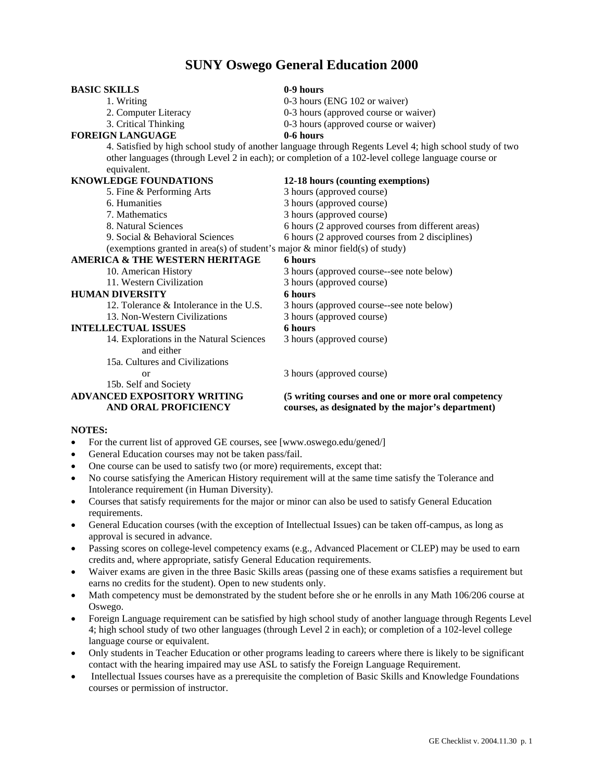## **SUNY Oswego General Education 2000**

| <b>BASIC SKILLS</b>                                                          | 0-9 hours                                                                                                                                                                                                     |
|------------------------------------------------------------------------------|---------------------------------------------------------------------------------------------------------------------------------------------------------------------------------------------------------------|
| 1. Writing                                                                   | 0-3 hours (ENG 102 or waiver)                                                                                                                                                                                 |
| 2. Computer Literacy                                                         | 0-3 hours (approved course or waiver)                                                                                                                                                                         |
| 3. Critical Thinking                                                         | 0-3 hours (approved course or waiver)                                                                                                                                                                         |
| <b>FOREIGN LANGUAGE</b>                                                      | 0-6 hours                                                                                                                                                                                                     |
| equivalent.                                                                  | 4. Satisfied by high school study of another language through Regents Level 4; high school study of two<br>other languages (through Level 2 in each); or completion of a 102-level college language course or |
| <b>KNOWLEDGE FOUNDATIONS</b>                                                 | 12-18 hours (counting exemptions)                                                                                                                                                                             |
| 5. Fine & Performing Arts                                                    | 3 hours (approved course)                                                                                                                                                                                     |
| 6. Humanities                                                                | 3 hours (approved course)                                                                                                                                                                                     |
| 7. Mathematics                                                               | 3 hours (approved course)                                                                                                                                                                                     |
| 8. Natural Sciences                                                          | 6 hours (2 approved courses from different areas)                                                                                                                                                             |
| 9. Social & Behavioral Sciences                                              | 6 hours (2 approved courses from 2 disciplines)                                                                                                                                                               |
| (exemptions granted in area(s) of student's major & minor field(s) of study) |                                                                                                                                                                                                               |
| <b>AMERICA &amp; THE WESTERN HERITAGE</b>                                    | 6 hours                                                                                                                                                                                                       |
| 10. American History                                                         | 3 hours (approved course--see note below)                                                                                                                                                                     |
| 11. Western Civilization                                                     | 3 hours (approved course)                                                                                                                                                                                     |
| <b>HUMAN DIVERSITY</b>                                                       | <b>6</b> hours                                                                                                                                                                                                |
| 12. Tolerance & Intolerance in the U.S.                                      | 3 hours (approved course--see note below)                                                                                                                                                                     |
| 13. Non-Western Civilizations                                                | 3 hours (approved course)                                                                                                                                                                                     |
| <b>INTELLECTUAL ISSUES</b>                                                   | 6 hours                                                                                                                                                                                                       |
| 14. Explorations in the Natural Sciences<br>and either                       | 3 hours (approved course)                                                                                                                                                                                     |
| 15a. Cultures and Civilizations                                              |                                                                                                                                                                                                               |
| or                                                                           | 3 hours (approved course)                                                                                                                                                                                     |
| 15b. Self and Society                                                        |                                                                                                                                                                                                               |
| <b>ADVANCED EXPOSITORY WRITING</b>                                           | (5 writing courses and one or more oral competency                                                                                                                                                            |
| <b>AND ORAL PROFICIENCY</b>                                                  | courses, as designated by the major's department)                                                                                                                                                             |
| <b>MATTE</b> .                                                               |                                                                                                                                                                                                               |

- **NOTES:**
- For the current list of approved GE courses, see [www.oswego.edu/gened/]
- General Education courses may not be taken pass/fail.
- One course can be used to satisfy two (or more) requirements, except that:
- No course satisfying the American History requirement will at the same time satisfy the Tolerance and Intolerance requirement (in Human Diversity).
- Courses that satisfy requirements for the major or minor can also be used to satisfy General Education requirements.
- General Education courses (with the exception of Intellectual Issues) can be taken off-campus, as long as approval is secured in advance.
- Passing scores on college-level competency exams (e.g., Advanced Placement or CLEP) may be used to earn credits and, where appropriate, satisfy General Education requirements.
- Waiver exams are given in the three Basic Skills areas (passing one of these exams satisfies a requirement but earns no credits for the student). Open to new students only.
- Math competency must be demonstrated by the student before she or he enrolls in any Math 106/206 course at Oswego.
- Foreign Language requirement can be satisfied by high school study of another language through Regents Level 4; high school study of two other languages (through Level 2 in each); or completion of a 102-level college language course or equivalent.
- Only students in Teacher Education or other programs leading to careers where there is likely to be significant contact with the hearing impaired may use ASL to satisfy the Foreign Language Requirement.
- Intellectual Issues courses have as a prerequisite the completion of Basic Skills and Knowledge Foundations courses or permission of instructor.